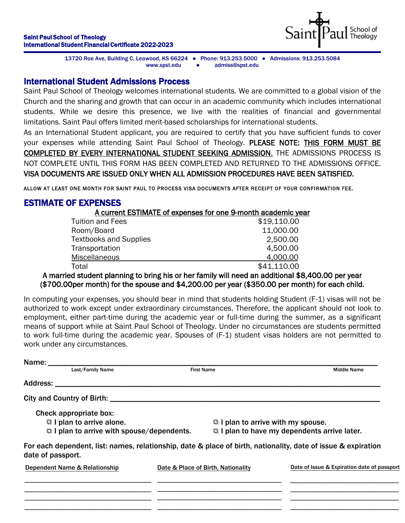

\_\_\_\_\_\_\_\_\_\_\_\_\_\_\_\_\_\_\_\_\_\_\_\_\_\_\_\_\_\_\_\_\_\_\_\_\_\_\_\_\_ \_\_\_\_\_\_\_\_\_\_\_\_\_\_\_\_\_\_\_\_\_\_\_\_\_\_\_\_\_\_\_\_\_\_\_\_\_\_\_\_\_

13720 Roe Ave, Building C, Leawood, KS 66224 ● Phone: 913.253.5000 ● Admissions: 913.253.5084 www.spst.edu • admiss@spst.edu

## International Student Admissions Process

Saint Paul School of Theology welcomes international students. We are committed to a global vision of the Church and the sharing and growth that can occur in an academic community which includes international students. While we desire this presence, we live with the realities of financial and governmental limitations. Saint Paul offers limited merit-based scholarships for international students.

As an International Student applicant, you are required to certify that you have sufficient funds to cover your expenses while attending Saint Paul School of Theology. PLEASE NOTE: THIS FORM MUST BE COMPLETED BY EVERY INTERNATIONAL STUDENT SEEKING ADMISSION. THE ADMISSIONS PROCESS IS NOT COMPLETE UNTIL THIS FORM HAS BEEN COMPLETED AND RETURNED TO THE ADMISSIONS OFFICE. VISA DOCUMENTS ARE ISSUED ONLY WHEN ALL ADMISSION PROCEDURES HAVE BEEN SATISFIED.

ALLOW AT LEAST ONE MONTH FOR SAINT PAUL TO PROCESS VISA DOCUMENTS AFTER RECEIPT OF YOUR CONFIRMATION FEE.

## ESTIMATE OF EXPENSES

\_\_\_\_\_\_\_\_\_\_\_\_\_\_\_\_\_\_\_\_\_\_\_\_\_\_\_\_\_\_\_\_\_\_\_\_\_\_\_\_\_\_\_\_\_\_\_\_ \_\_\_\_\_\_\_\_\_\_\_\_\_\_\_\_\_\_\_\_\_\_\_\_\_\_\_\_\_\_\_\_\_\_\_\_\_\_\_\_\_\_\_\_\_\_\_\_

|--|

| <b>Tuition and Fees</b>       | \$19,110.00 |
|-------------------------------|-------------|
| Room/Board                    | 11,000.00   |
| <b>Textbooks and Supplies</b> | 2,500.00    |
| Transportation                | 4,500.00    |
| Miscellaneous                 | 4,000.00    |
| Total                         | \$41,110.00 |

A married student planning to bring his or her family will need an additional \$8,400.00 per year (\$700.00per month) for the spouse and \$4,200.00 per year (\$350.00 per month) for each child.

In computing your expenses, you should bear in mind that students holding Student (F-1) visas will not be authorized to work except under extraordinary circumstances. Therefore, the applicant should not look to employment, either part-time during the academic year or full-time during the summer, as a significant means of support while at Saint Paul School of Theology. Under no circumstances are students permitted to work full-time during the academic year. Spouses of (F-1) student visas holders are not permitted to work under any circumstances.

| Name:                                                                                                |  |                                         |                                            |                                                                                                               |
|------------------------------------------------------------------------------------------------------|--|-----------------------------------------|--------------------------------------------|---------------------------------------------------------------------------------------------------------------|
| Last/Family Name                                                                                     |  | <b>First Name</b>                       |                                            | <b>Middle Name</b>                                                                                            |
| Address: _________                                                                                   |  |                                         |                                            |                                                                                                               |
| City and Country of Birth: ________                                                                  |  |                                         |                                            |                                                                                                               |
| Check appropriate box:<br>I plan to arrive alone.<br>$\Box$ I plan to arrive with spouse/dependents. |  | $\Box$ I plan to arrive with my spouse. | I plan to have my dependents arrive later. |                                                                                                               |
| date of passport.                                                                                    |  |                                         |                                            | For each dependent, list: names, relationship, date & place of birth, nationality, date of issue & expiration |
| Dependent Name & Relationship                                                                        |  | Date & Place of Birth, Nationality      |                                            | Date of Issue & Expiration date of passport                                                                   |
|                                                                                                      |  |                                         |                                            |                                                                                                               |

\_\_\_\_\_\_\_\_\_\_\_\_\_\_\_\_\_\_\_\_\_\_\_\_\_\_\_\_\_\_\_\_\_\_\_\_\_\_\_\_\_\_\_\_\_\_\_ \_\_\_\_\_\_\_\_\_\_\_\_\_\_\_\_\_\_\_\_\_\_\_\_\_\_\_\_\_\_\_\_\_\_\_\_\_\_\_\_\_\_\_\_\_\_\_